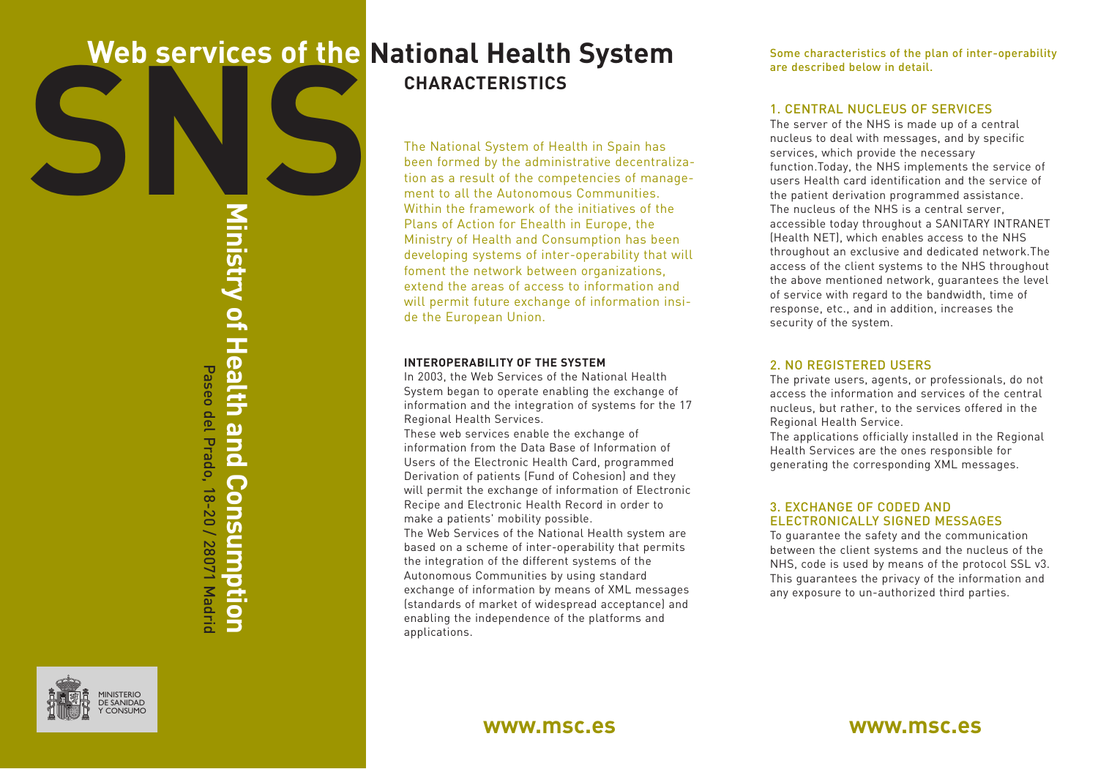# SNS **Web services of the National Health System CHARACTERISTICS**

**Ministry of Health and Consumption** Paseo del Prado, 18-20 / 28071 Madrid Paseo del Prado, 18-20 / 28071 Madric

The National System of Health in Spain has been formed by the administrative decentralization as a result of the competencies of management to all the Autonomous Communities. Within the framework of the initiatives of the Plans of Action for Ehealth in Europe, the Ministry of Health and Consumption has been developing systems of inter-operability that will foment the network between organizations, extend the areas of access to information and will permit future exchange of information inside the European Union.

#### **INTEROPERABILITY OF THE SYSTEM**

In 2003, the Web Services of the National Health System began to operate enabling the exchange of information and the integration of systems for the 17 Regional Health Services.

These web services enable the exchange of information from the Data Base of Information of Users of the Electronic Health Card, programmed Derivation of patients (Fund of Cohesion) and they will permit the exchange of information of Electronic Recipe and Electronic Health Record in order to make a patients' mobility possible.

The Web Services of the National Health system are based on a scheme of inter-operability that permits the integration of the different systems of the Autonomous Communities by using standard exchange of information by means of XML messages (standards of market of widespread acceptance) and enabling the independence of the platforms and applications.

Some characteristics of the plan of inter-operability are described below in detail.

## 1. CENTRAL NUCLEUS OF SERVICES

The server of the NHS is made up of a central nucleus to deal with messages, and by specific services, which provide the necessary function.Today, the NHS implements the service of users Health card identification and the service of the patient derivation programmed assistance. The nucleus of the NHS is a central server, accessible today throughout a SANITARY INTRANET (Health NET), which enables access to the NHS throughout an exclusive and dedicated network.The access of the client systems to the NHS throughout the above mentioned network, guarantees the level of service with regard to the bandwidth, time of response, etc., and in addition, increases the security of the system.

## 2. NO REGISTERED USERS

The private users, agents, or professionals, do not access the information and services of the central nucleus, but rather, to the services offered in the Regional Health Service.

The applications officially installed in the Regional Health Services are the ones responsible for generating the corresponding XML messages.

## 3. EXCHANGE OF CODED AND ELECTRONICALLY SIGNED MESSAGES

To guarantee the safety and the communication between the client systems and the nucleus of the NHS, code is used by means of the protocol SSL v3. This guarantees the privacy of the information and any exposure to un-authorized third parties.



## **www.msc.es www.msc.es**